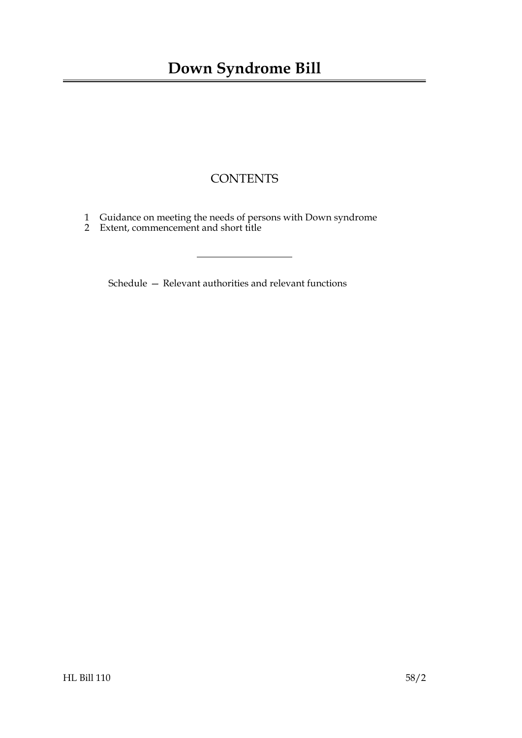# **CONTENTS**

- [1 Guidance on meeting the needs of persons with Down syndrome](#page-2-0)
- [2 Extent, commencement and short title](#page-2-1)

Schedule [— Relevant authorities and relevant functions](#page-3-0)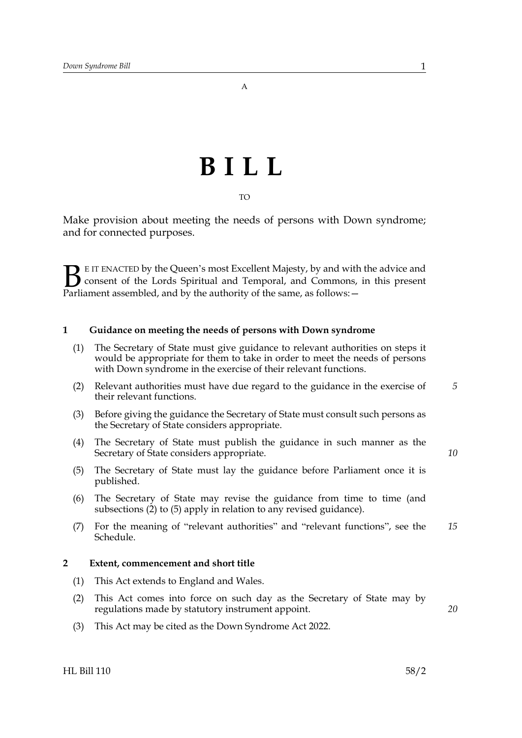# **BILL**

TO

Make provision about meeting the needs of persons with Down syndrome; and for connected purposes.

E IT ENACTED by the Queen's most Excellent Majesty, by and with the advice and consent of the Lords Spiritual and Temporal, and Commons, in this present **B** E IT ENACTED by the Queen's most Excellent Majesty, by and with consent of the Lords Spiritual and Temporal, and Commons, Parliament assembled, and by the authority of the same, as follows:  $-$ 

#### <span id="page-2-0"></span>**1 Guidance on meeting the needs of persons with Down syndrome**

- (1) The Secretary of State must give guidance to relevant authorities on steps it would be appropriate for them to take in order to meet the needs of persons with Down syndrome in the exercise of their relevant functions.
- (2) Relevant authorities must have due regard to the guidance in the exercise of their relevant functions.
- (3) Before giving the guidance the Secretary of State must consult such persons as the Secretary of State considers appropriate.
- (4) The Secretary of State must publish the guidance in such manner as the Secretary of State considers appropriate.
- (5) The Secretary of State must lay the guidance before Parliament once it is published.
- (6) The Secretary of State may revise the guidance from time to time (and subsections (2) to (5) apply in relation to any revised guidance).
- (7) For the meaning of "relevant authorities" and "relevant functions", see the Schedule. *15*

#### <span id="page-2-1"></span>**2 Extent, commencement and short title**

- (1) This Act extends to England and Wales.
- (2) This Act comes into force on such day as the Secretary of State may by regulations made by statutory instrument appoint.
- (3) This Act may be cited as the Down Syndrome Act 2022.

HL Bill 110 58/2

*10*

*20*

*5*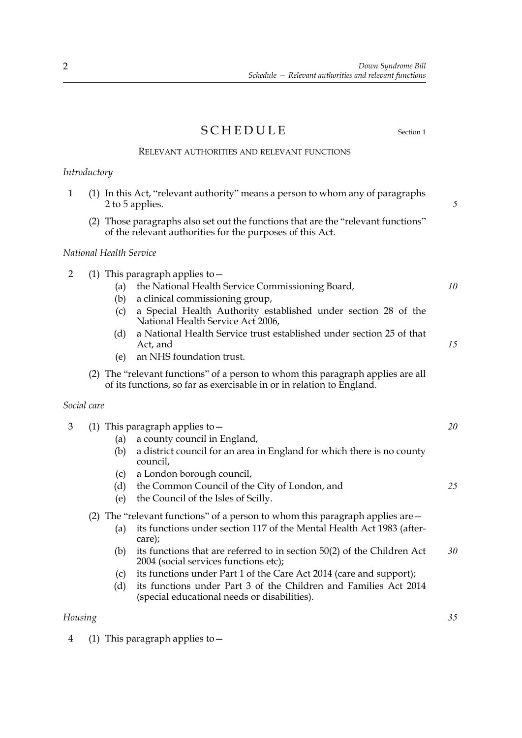<span id="page-3-0"></span>*Down Syndrome Bill Schedule — Relevant authorities and relevant functions*

# SCHEDULE Section [1](#page-2-0)

### RELEVANT AUTHORITIES AND RELEVANT FUNCTIONS

## *Introductory*

4 (1) This paragraph applies to—

<span id="page-3-1"></span>

| $\mathbf{1}$            |  | (1) In this Act, "relevant authority" means a person to whom any of paragraphs<br>2 to 5 applies.                                                                                                                                                                                                                                                                                  | 5        |
|-------------------------|--|------------------------------------------------------------------------------------------------------------------------------------------------------------------------------------------------------------------------------------------------------------------------------------------------------------------------------------------------------------------------------------|----------|
|                         |  | (2) Those paragraphs also set out the functions that are the "relevant functions"<br>of the relevant authorities for the purposes of this Act.                                                                                                                                                                                                                                     |          |
| National Health Service |  |                                                                                                                                                                                                                                                                                                                                                                                    |          |
| $\overline{2}$          |  | (1) This paragraph applies to $-$<br>the National Health Service Commissioning Board,<br>(a)<br>a clinical commissioning group,<br>(b)<br>a Special Health Authority established under section 28 of the<br>(c)<br>National Health Service Act 2006,<br>a National Health Service trust established under section 25 of that<br>(d)<br>Act, and<br>an NHS foundation trust.<br>(e) | 10<br>15 |
|                         |  | (2) The "relevant functions" of a person to whom this paragraph applies are all<br>of its functions, so far as exercisable in or in relation to England.                                                                                                                                                                                                                           |          |
| Social care             |  |                                                                                                                                                                                                                                                                                                                                                                                    |          |
| 3                       |  | (1) This paragraph applies to $-$<br>a county council in England,<br>(a)<br>(b)<br>a district council for an area in England for which there is no county<br>council,<br>a London borough council,<br>(c)<br>the Common Council of the City of London, and<br>(d)<br>the Council of the Isles of Scilly.<br>(e)                                                                    | 20<br>25 |
|                         |  | (2) The "relevant functions" of a person to whom this paragraph applies are $-$<br>its functions under section 117 of the Mental Health Act 1983 (after-<br>(a)<br>care);                                                                                                                                                                                                          |          |
|                         |  | its functions that are referred to in section 50(2) of the Children Act<br>(b)<br>2004 (social services functions etc);<br>its functions under Part 1 of the Care Act 2014 (care and support);<br>(c)<br>its functions under Part 3 of the Children and Families Act 2014<br>(d)<br>(special educational needs or disabilities).                                                   | 30       |
| Housing                 |  |                                                                                                                                                                                                                                                                                                                                                                                    | 35       |

2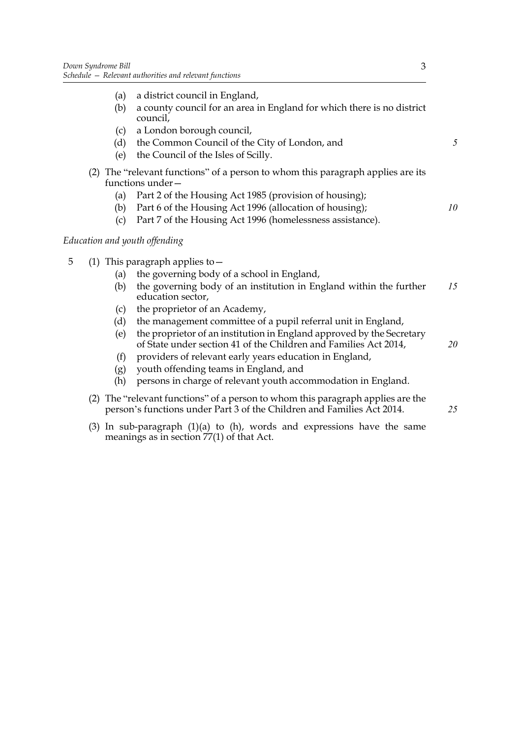- (a) a district council in England,
- (b) a county council for an area in England for which there is no district council,
- (c) a London borough council,
- (d) the Common Council of the City of London, and
- (e) the Council of the Isles of Scilly.
- (2) The "relevant functions" of a person to whom this paragraph applies are its functions under—
	- (a) Part 2 of the Housing Act 1985 (provision of housing);
	- (b) Part 6 of the Housing Act 1996 (allocation of housing);
	- (c) Part 7 of the Housing Act 1996 (homelessness assistance).

#### *Education and youth offending*

- <span id="page-4-0"></span>5 (1) This paragraph applies to—
	- (a) the governing body of a school in England,
	- (b) the governing body of an institution in England within the further education sector, *15*
	- (c) the proprietor of an Academy,
	- (d) the management committee of a pupil referral unit in England,
	- (e) the proprietor of an institution in England approved by the Secretary of State under section 41 of the Children and Families Act 2014,
	- (f) providers of relevant early years education in England,
	- (g) youth offending teams in England, and
	- (h) persons in charge of relevant youth accommodation in England.
	- (2) The "relevant functions" of a person to whom this paragraph applies are the person's functions under Part 3 of the Children and Families Act 2014.
	- (3) In sub-paragraph  $(1)(a)$  to  $(h)$ , words and expressions have the same meanings as in section 77(1) of that Act.

*5*

*10*

*25*

*20*